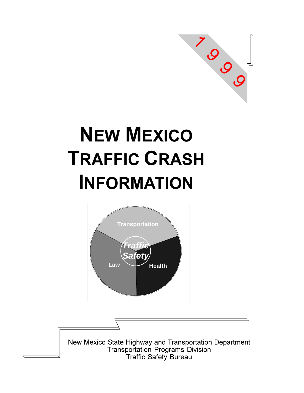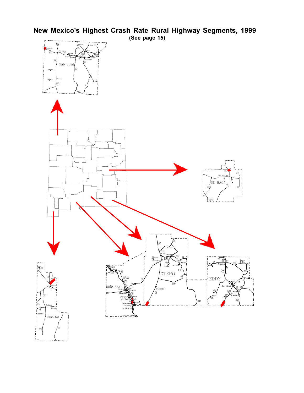# New Mexico's Highest Crash Rate Rural Highway Segments, 1999

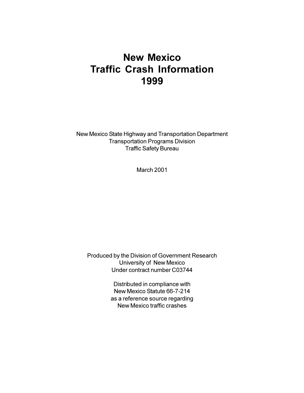# **New Mexico Traffic Crash Information** 1999

New Mexico State Highway and Transportation Department **Transportation Programs Division** Traffic Safety Bureau

**March 2001** 

Produced by the Division of Government Research **University of New Mexico** Under contract number C03744

> Distributed in compliance with New Mexico Statute 66-7-214 as a reference source regarding New Mexico traffic crashes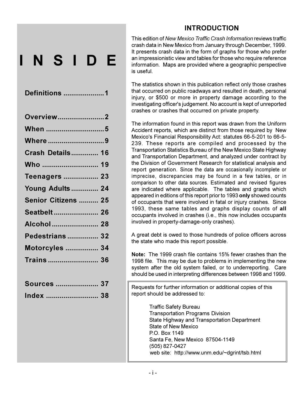### **INTRODUCTION**

NSIDE

| Overview2               |  |
|-------------------------|--|
|                         |  |
| Where 9                 |  |
| <b>Crash Details 16</b> |  |
| Who  19                 |  |
| <b>Teenagers  23</b>    |  |
| <b>Young Adults  24</b> |  |
| Senior Citizens  25     |  |
| Seatbelt 26             |  |
| Alcohol  28             |  |
| <b>Pedestrians  32</b>  |  |
| <b>Motorcyles  34</b>   |  |
|                         |  |
|                         |  |

| <b>Sources  37</b> |  |
|--------------------|--|
| Index              |  |

This edition of New Mexico Traffic Crash Information reviews traffic crash data in New Mexico from January through December, 1999. It presents crash data in the form of graphs for those who prefer an impressionistic view and tables for those who require reference information. Maps are provided where a geographic perspective is useful

The statistics shown in this publication reflect only those crashes that occurred on public roadways and resulted in death, personal injury, or \$500 or more in property damage according to the investigating officer's judgement. No account is kept of unreported crashes or crashes that occurred on private property.

The information found in this report was drawn from the Uniform Accident reports, which are distinct from those required by New Mexico's Financial Responsibility Act: statutes 66-5-201 to 66-5-239. These reports are compiled and processed by the Transportation Statistics Bureau of the New Mexico State Highway and Transportation Department, and analyzed under contract by the Division of Government Research for statistical analysis and report generation. Since the data are occasionally incomplete or imprecise, discrepancies may be found in a few tables, or in comparison to other data sources. Estimated and revised figures are indicated where applicable. The tables and graphs which appeared in editions of this report prior to 1993 only showed counts of occupants that were involved in fatal or injury crashes. Since 1993, these same tables and graphs display counts of all occupants involved in crashes (i.e., this now includes occupants involved in property-damage-only crashes).

A great debt is owed to those hundreds of police officers across the state who made this report possible.

Note: The 1999 crash file contains 15% fewer crashes than the 1998 file. This may be due to problems in implementing the new system after the old system failed, or to underreporting. Care should be used in interpreting differences between 1998 and 1999.

Requests for further information or additional copies of this report should be addressed to:

> **Traffic Safety Bureau Transportation Programs Division** State Highway and Transportation Department State of New Mexico PO Box 1149 Santa Fe. New Mexico 87504-1149 (505) 827-0427 web site: http://www.unm.edu/~dgrint/tsb.html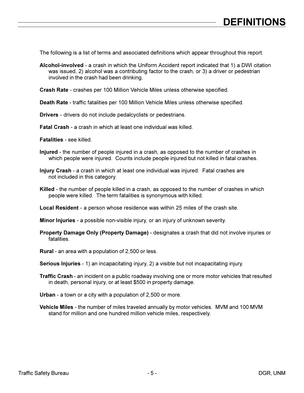The following is a list of terms and associated definitions which appear throughout this report.

- Alcohol-involved a crash in which the Uniform Accident report indicated that 1) a DWI citation was issued, 2) alcohol was a contributing factor to the crash, or 3) a driver or pedestrian involved in the crash had been drinking.
- Crash Rate crashes per 100 Million Vehicle Miles unless otherwise specified.
- Death Rate traffic fatalities per 100 Million Vehicle Miles unless otherwise specified.
- **Drivers** drivers do not include pedalcyclists or pedestrians.
- **Fatal Crash** a crash in which at least one individual was killed.
- **Fatalities see killed**
- Injured the number of people injured in a crash, as opposed to the number of crashes in which people were injured. Counts include people injured but not killed in fatal crashes.
- Injury Crash a crash in which at least one individual was injured. Fatal crashes are not included in this category.
- Killed the number of people killed in a crash, as opposed to the number of crashes in which people were killed. The term fatalities is synonymous with killed.
- Local Resident a person whose residence was within 25 miles of the crash site.
- **Minor Injuries** a possible non-visible injury, or an injury of unknown severity.
- Property Damage Only (Property Damage) designates a crash that did not involve injuries or fatalities
- **Rural** an area with a population of 2,500 or less.
- Serious Injuries 1) an incapacitating injury, 2) a visible but not incapacitating injury.
- Traffic Crash an incident on a public roadway involving one or more motor vehicles that resulted in death, personal injury, or at least \$500 in property damage.
- Urban a town or a city with a population of 2,500 or more.
- Vehicle Miles the number of miles traveled annually by motor vehicles. MVM and 100 MVM stand for million and one hundred million vehicle miles, respectively.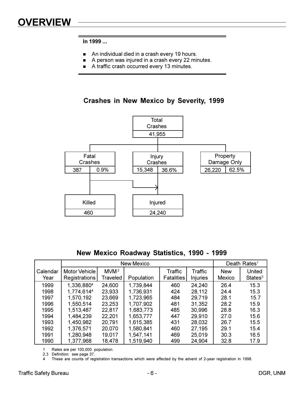- $\blacksquare$ An individual died in a crash every 19 hours.
- A person was injured in a crash every 22 minutes.  $\blacksquare$
- A traffic crash occurred every 13 minutes.  $\blacksquare$

**Crashes in New Mexico by Severity, 1999** 



#### New Mexico Roadway Statistics, 1990 - 1999

|                  |                                       |                              | Death Rates <sup>1</sup> |                              |                     |                             |                               |
|------------------|---------------------------------------|------------------------------|--------------------------|------------------------------|---------------------|-----------------------------|-------------------------------|
| Calendar<br>Year | Motor Vehicle<br><b>Registrations</b> | MVM <sup>2</sup><br>Traveled | Population               | Traffic<br><b>Fatalities</b> | Traffic<br>Injuries | <b>New</b><br><b>Mexico</b> | United<br>States <sup>3</sup> |
| 1999             | 1,336,8804                            | 24,600                       | 1,739,844                | 460                          | 24,240              | 26.4                        | 15.3                          |
| 1998             | 1,774,6144                            | 23,933                       | 1,736,931                | 424                          | 28,112              | 24.4                        | 15.3                          |
| 1997             | 1,570,192                             | 23,669                       | 1,723,965                | 484                          | 29,719              | 28.1                        | 15.7                          |
| 1996             | 1,550,514                             | 23,253                       | 1,707,902                | 481                          | 31,352              | 28.2                        | 15.9                          |
| 1995             | 1,513,487                             | 22,817                       | 1,683,773                | 485                          | 30,996              | 28.8                        | 16.3                          |
| 1994             | 1,484,239                             | 22,201                       | 1,653,777                | 447                          | 29,910              | 27.0                        | 15.6                          |
| 1993             | 1,450,982                             | 20,791                       | 1,615,385                | 431                          | 28,032              | 26.7                        | 15.5                          |
| 1992             | 1,376,571                             | 20,070                       | 1,580,841                | 460                          | 27,195              | 29.1                        | 15.4                          |
| 1991             | 1,280,948                             | 19,017                       | 1,547,141                | 469                          | 25,019              | 30.3                        | 16.5                          |
| 1990             | 1,377,968                             | 18,478                       | 1,519,940                | 499                          | 24,904              | 32.8                        | 17.9                          |

Rates are per 100,000 population.  $\mathbf{1}$ 

2,3 Definition: see page 37.

 $\overline{4}$ These are counts of registration transactions which were affected by the advent of 2-year registration in 1998.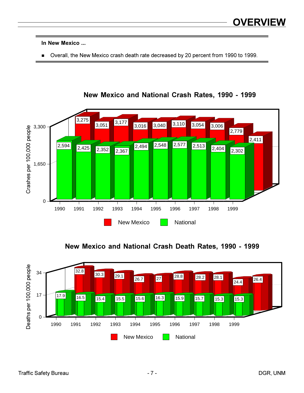In New Mexico ...

**Dealledge 1990** to New Mexico crash death rate decreased by 20 percent from 1990 to 1999.



**New Mexico and National Crash Rates, 1990 - 1999** 

**New Mexico and National Crash Death Rates, 1990 - 1999** 

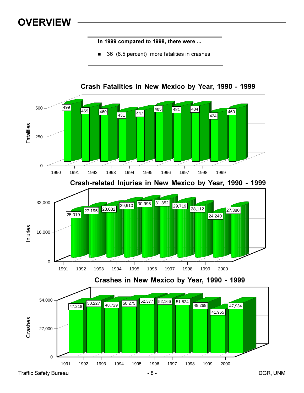# **OVERVIEW**

In 1999 compared to 1998, there were ...

36 (8.5 percent) more fatalities in crashes.



Crash Fatalities in New Mexico by Year, 1990 - 1999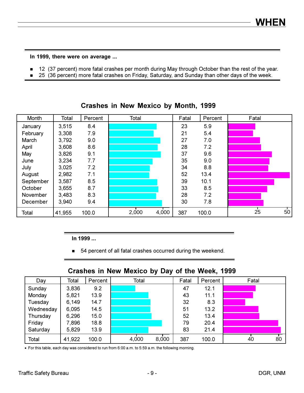In 1999, there were on average ...

- 12 (37 percent) more fatal crashes per month during May through October than the rest of the year.  $\blacksquare$
- 25 (36 percent) more fatal crashes on Friday, Saturday, and Sunday than other days of the week.

| Month     | Total  | Percent | Total |       | Fatal | Percent | Fatal |                 |
|-----------|--------|---------|-------|-------|-------|---------|-------|-----------------|
| January   | 3,515  | 8.4     |       |       | 23    | 5.9     |       |                 |
| February  | 3,308  | 7.9     |       |       | 21    | 5.4     |       |                 |
| March     | 3,792  | 9.0     |       |       | 27    | 7.0     |       |                 |
| April     | 3,608  | 8.6     |       |       | 28    | 7.2     |       |                 |
| May       | 3,826  | 9.1     |       |       | 37    | 9.6     |       |                 |
| June      | 3,234  | 7.7     |       |       | 35    | 9.0     |       |                 |
| July      | 3,025  | 7.2     |       |       | 34    | 8.8     |       |                 |
| August    | 2,982  | 7.1     |       |       | 52    | 13.4    |       |                 |
| September | 3,587  | 8.5     |       |       | 39    | 10.1    |       |                 |
| October   | 3,655  | 8.7     |       |       | 33    | 8.5     |       |                 |
| November  | 3,483  | 8.3     |       |       | 28    | 7.2     |       |                 |
| December  | 3,940  | 9.4     |       |       | 30    | 7.8     |       |                 |
| Total     | 41,955 | 100.0   | 2,000 | 4,000 | 387   | 100.0   | 25    | 50 <sub>o</sub> |

Crashes in New Mexico by Month, 1999

In 1999 ...

• 54 percent of all fatal crashes occurred during the weekend.

#### Crashes in New Mexico by Day of the Week, 1999

| Day       | Total  | Percent | Total |       | Fatal | Percent | Fatal    |
|-----------|--------|---------|-------|-------|-------|---------|----------|
| Sunday    | 3,836  | 9.2     |       |       | 47    | 12.1    |          |
| Monday    | 5,821  | 13.9    |       |       | 43    | 11.1    |          |
| Tuesday   | 6,149  | 14.7    |       |       | 32    | 8.3     |          |
| Wednesday | 6,095  | 14.5    |       |       | 51    | 13.2    |          |
| Thursday  | 6,296  | 15.0    |       |       | 52    | 13.4    |          |
| Friday    | 7,896  | 18.8    |       |       | 79    | 20.4    |          |
| Saturday  | 5,829  | 13.9    |       |       | 83    | 21.4    |          |
| Total     | 41,922 | 100.0   | 4,000 | 8,000 | 387   | 100.0   | 80<br>40 |

• For this table, each day was considered to run from 6:00 a.m. to 5:59 a.m. the following morning.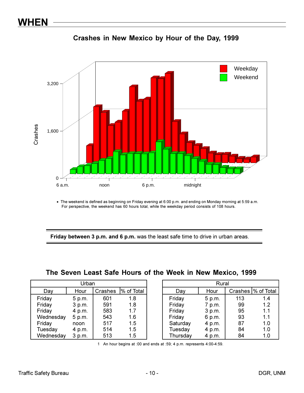



• The weekend is defined as beginning on Friday evening at 6:00 p.m. and ending on Monday morning at 5:59 a.m. For perspective, the weekend has 60 hours total, while the weekday period consists of 108 hours.

Friday between 3 p.m. and 6 p.m. was the least safe time to drive in urban areas.

|  |  |  |  | The Seven Least Safe Hours of the Week in New Mexico, 1999 |  |
|--|--|--|--|------------------------------------------------------------|--|
|  |  |  |  |                                                            |  |

| Urban     |        |         |            |  |  |  |  |  |  |
|-----------|--------|---------|------------|--|--|--|--|--|--|
| Day       | Hour   | Crashes | % of Total |  |  |  |  |  |  |
| Friday    | 5 p.m. | 601     | 1.8        |  |  |  |  |  |  |
| Friday    | 3 p.m. | 591     | 1.8        |  |  |  |  |  |  |
| Friday    | 4 p.m. | 583     | 17         |  |  |  |  |  |  |
| Wednesday | 5 p.m. | 543     | 1.6        |  |  |  |  |  |  |
| Friday    | noon   | 517     | 1.5        |  |  |  |  |  |  |
| Tuesday   | 4 p.m. | 514     | 1.5        |  |  |  |  |  |  |
| Wednesday | 3 p.m. | 513     | 1.5        |  |  |  |  |  |  |

| Rural    |        |     |                     |  |  |  |  |  |
|----------|--------|-----|---------------------|--|--|--|--|--|
| Day      | Hour   |     | Crashes  % of Total |  |  |  |  |  |
| Friday   | 5 p.m. | 113 | 1.4                 |  |  |  |  |  |
| Friday   | 7 p.m. | 99  | 1.2                 |  |  |  |  |  |
| Friday   | 3 p.m. | 95  | 1.1                 |  |  |  |  |  |
| Friday   | 6 p.m. | 93  | 1.1                 |  |  |  |  |  |
| Saturday | 4 p.m. | 87  | 1.0                 |  |  |  |  |  |
| Tuesday  | 4 p.m. | 84  | 1.0                 |  |  |  |  |  |
| Thursday | 4 p.m. | 84  | 1.0                 |  |  |  |  |  |

1 An hour begins at :00 and ends at :59; 4 p.m. represents 4:00-4:59.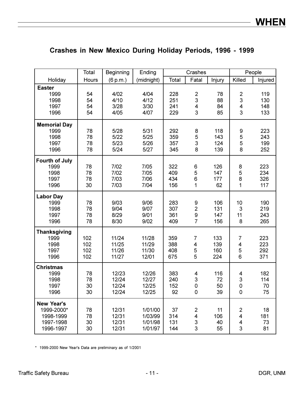|                       | Total | <b>Beginning</b> | Ending     |       | Crashes                   |        |                         | People  |
|-----------------------|-------|------------------|------------|-------|---------------------------|--------|-------------------------|---------|
| Holiday               | Hours | (6 p.m.)         | (midnight) | Total | Fatal                     | Injury | Killed                  | Injured |
| <b>Easter</b>         |       |                  |            |       |                           |        |                         |         |
| 1999                  | 54    | 4/02             | 4/04       | 228   | $\overline{2}$            | 78     | $\overline{2}$          | 119     |
| 1998                  | 54    | 4/10             | 4/12       | 251   | 3                         | 88     | 3                       | 130     |
| 1997                  | 54    | 3/28             | 3/30       | 241   | 4                         | 84     | 4                       | 148     |
| 1996                  | 54    | 4/05             | 4/07       | 229   | 3                         | 85     | 3                       | 133     |
| <b>Memorial Day</b>   |       |                  |            |       |                           |        |                         |         |
| 1999                  | 78    | 5/28             | 5/31       | 292   | 8                         | 118    | 9                       | 223     |
| 1998                  | 78    | 5/22             | 5/25       | 359   | 5                         | 143    | 5                       | 243     |
| 1997                  | 78    | 5/23             | 5/26       | 357   | 3                         | 124    | 5                       | 199     |
| 1996                  | 78    | 5/24             | 5/27       | 345   | 8                         | 139    | 8                       | 252     |
| <b>Fourth of July</b> |       |                  |            |       |                           |        |                         |         |
| 1999                  | 78    | 7/02             | 7/05       | 322   | 6                         | 126    | 8                       | 223     |
| 1998                  | 78    | 7/02             | 7/05       | 409   | 5                         | 147    | 5                       | 234     |
| 1997                  | 78    | 7/03             | 7/06       | 434   | 6                         | 177    | 8                       | 326     |
| 1996                  | 30    | 7/03             | 7/04       | 156   | 1                         | 62     | $\mathbf{1}$            | 117     |
| <b>Labor Day</b>      |       |                  |            |       |                           |        |                         |         |
| 1999                  | 78    | 9/03             | 9/06       | 283   | 9                         | 106    | 10                      | 190     |
| 1998                  | 78    | 9/04             | 9/07       | 307   | $\overline{2}$            | 131    | 3                       | 219     |
| 1997                  | 78    | 8/29             | 9/01       | 361   | $\boldsymbol{9}$          | 147    | 11                      | 243     |
| 1996                  | 78    | 8/30             | 9/02       | 409   | $\overline{7}$            | 156    | 8                       | 265     |
| <b>Thanksgiving</b>   |       |                  |            |       |                           |        |                         |         |
| 1999                  | 102   | 11/24            | 11/28      | 359   | 7                         | 133    | 7                       | 223     |
| 1998                  | 102   | 11/25            | 11/29      | 388   | 4                         | 139    | 4                       | 223     |
| 1997                  | 102   | 11/26            | 11/30      | 408   | 5                         | 160    | 5                       | 292     |
| 1996                  | 102   | 11/27            | 12/01      | 675   | 5                         | 224    | 6                       | 371     |
| <b>Christmas</b>      |       |                  |            |       |                           |        |                         |         |
| 1999                  | 78    | 12/23            | 12/26      | 383   | 4                         | 116    | 4                       | 182     |
| 1998                  | 78    | 12/24            | 12/27      | 240   | $\ensuremath{\mathsf{3}}$ | 72     | 3                       | 114     |
| 1997                  | 30    | 12/24            | 12/25      | 152   | $\mathsf{O}\xspace$       | 50     | $\mathsf 0$             | 70      |
| 1996                  | 30    | 12/24            | 12/25      | 92    | 0                         | 39     | 0                       | 75      |
| <b>New Year's</b>     |       |                  |            |       |                           |        |                         |         |
| 1999-2000*            | 78    | 12/31            | 1/01/00    | 37    | 2                         | 11     | 2                       | 18      |
| 1998-1999             | 78    | 12/31            | 1/03/99    | 314   | $\overline{\mathbf{4}}$   | 106    | $\overline{\mathbf{4}}$ | 181     |
| 1997-1998             | 30    | 12/31            | 1/01/98    | 131   | 3                         | 40     | 4                       | 73      |
| 1996-1997             | 30    | 12/31            | 1/01/97    | 144   | 3                         | 55     | 3                       | 81      |

### Crashes in New Mexico During Holiday Periods, 1996 - 1999

\* 1999-2000 New Year's Data are preliminary as of 1/2001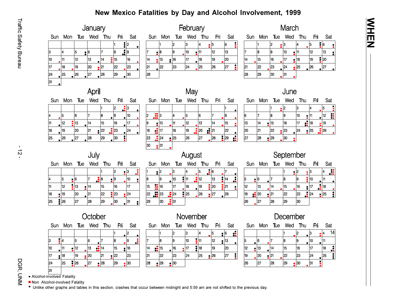#### New Mexico Fatalities by Day and Alcohol Involvement, 1999



• Alcohol-involved Fatality

10

17

24

31

Non Alcohol-involved Fatality

111

18

25

 $\bullet$  12

19

 $|26$ 

13

20

27

14

|21

 $\cdot$  28

п.

15

22

29

 $\cdot$  16

23

 $- 30$ 

• Unlike other graphs and tables in this section, crashes that occur between midnight and 5:59 am are not shifted to the previous day.

14

21

28

 $\frac{1}{2}$  15

22

 $\bullet$  29

16

23

 $\bullet$  30

 $17$ 

24

|18

25

19

 $\cdot$  26

20

27

| Sun | Mon | Tue | Wed | Thu | Fri | Sat     |
|-----|-----|-----|-----|-----|-----|---------|
|     |     |     |     | 2   | 13  | 14<br>4 |
| 15  | 6   |     | 8   | 19  | 10  |         |
| 12  | 13  | 14  | 15  | 16  | 17  | Å<br>18 |
| 19  | 20  | 21  | 22  | 23  | 24  | ŧ<br>25 |
| 26  | 27  | 28  | 29  | 30  | 31  |         |

ミエ四ス

Traffic Safety Bureau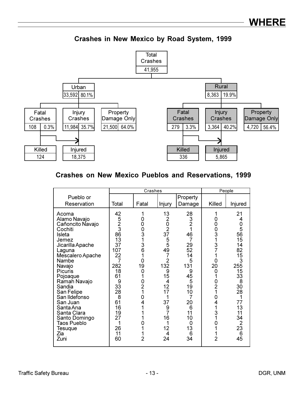Crashes in New Mexico by Road System, 1999



#### **Crashes on New Mexico Pueblos and Reservations, 1999**

|                                                                                                                                                                                                                                                                                                                                       |                                                                                                                                                            | Crashes                                                                                                                              |                                                                                                                                                                                    |                                                                                                                                                                                                   | People                                                                                                                                         |                                                                                                                                                       |  |
|---------------------------------------------------------------------------------------------------------------------------------------------------------------------------------------------------------------------------------------------------------------------------------------------------------------------------------------|------------------------------------------------------------------------------------------------------------------------------------------------------------|--------------------------------------------------------------------------------------------------------------------------------------|------------------------------------------------------------------------------------------------------------------------------------------------------------------------------------|---------------------------------------------------------------------------------------------------------------------------------------------------------------------------------------------------|------------------------------------------------------------------------------------------------------------------------------------------------|-------------------------------------------------------------------------------------------------------------------------------------------------------|--|
| Pueblo or                                                                                                                                                                                                                                                                                                                             |                                                                                                                                                            |                                                                                                                                      |                                                                                                                                                                                    | Property                                                                                                                                                                                          |                                                                                                                                                |                                                                                                                                                       |  |
| Reservation                                                                                                                                                                                                                                                                                                                           | Total                                                                                                                                                      | Fatal                                                                                                                                | Injury                                                                                                                                                                             | Damage                                                                                                                                                                                            | Killed                                                                                                                                         | Injured                                                                                                                                               |  |
| Acoma<br>Alamo Navajo<br>Cañoncito Navajo<br>Cochiti<br>Isleta<br>Jemez<br>Jicarilla Apache<br>Laguna<br>Mescalero Apache<br>Nambe<br>Navajo<br>Picuris<br>Pojoaque<br>Ramah Navajo<br>Sandia<br>San Felipe<br>San Ildefonso<br>San Juan<br>Santa Ana<br>Santa Clara<br>Santo Domingo<br><b>Taos Pueblo</b><br>Tesuque<br>Zia<br>Zuni | 42<br>5<br>2<br>3<br>86<br>13<br>37<br>107<br>22<br>$\overline{7}$<br>282<br>18<br>61<br>9<br>33<br>28<br>8<br>61<br>16<br>19<br>27<br>1<br>26<br>11<br>60 | 1<br>0<br>0<br>0<br>3<br>1<br>3<br>6<br>1<br>0<br>19<br>0<br>1<br>$\frac{0}{2}$<br>1<br>0<br>4<br>1<br>1<br>0<br>1<br>$\overline{2}$ | 13<br>$\frac{2}{37}$<br>$\frac{5}{5}$<br>49<br>$\overline{7}$<br>$\overline{2}$<br>132<br>9<br>15<br>4<br>12<br>17<br>37<br>$\frac{9}{7}$<br>16<br>1<br>12<br>$\overline{4}$<br>24 | 28<br>$\begin{array}{c} 3 \\ 2 \\ 1 \end{array}$<br>46<br>$\overline{7}$<br>29<br>52<br>14<br>5<br>131<br>9<br>45<br>5<br>19<br>10<br>$\overline{7}$<br>20<br>6<br>11<br>10<br>0<br>13<br>6<br>34 | 1<br>0<br>0<br>0<br>3<br>1<br>$\frac{3}{7}$<br>0<br>20<br>0<br>0<br>$\overline{2}$<br>1<br>$\frac{0}{4}$<br>1<br>3<br>1<br>0<br>$\overline{2}$ | 21<br>$\frac{0}{5}$<br>56<br>15<br>14<br>82<br>15<br>3<br>255<br>15<br>33<br>8<br>30<br>28<br>77<br>13<br>11<br>34<br>$\overline{2}$<br>23<br>6<br>45 |  |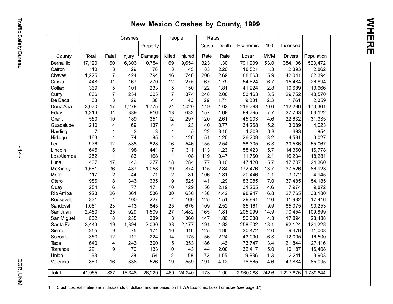## New Mexico Crashes by County, 1999

|                 |                  |                  | Crashes           |               | People         |                    | Rates |       |                  |            |                |            |
|-----------------|------------------|------------------|-------------------|---------------|----------------|--------------------|-------|-------|------------------|------------|----------------|------------|
|                 |                  |                  |                   | Property      |                |                    | Crash | Death | Economic         | 100        | Licensed       |            |
| County          | <del>Total</del> | <del>Fatal</del> | <del>Injury</del> | <b>Damage</b> | Killed         | <del>Injured</del> | Rate  | Rate  | <del>Loss*</del> | <b>MVM</b> | <b>Drivers</b> | Population |
| Bernalillo      | 17,120           | 60               | 6,306             | 10,754        | 69             | 9,654              | 323   | 1.30  | 791,909          | 53.0       | 384,106        | 523,472    |
| Catron          | 110              | 3                | 29                | 78            | 3              | 45                 | 83    | 2.26  | 18,521           | 1.3        | 2,893          | 2,862      |
| Chaves          | 1,225            | $\overline{7}$   | 424               | 794           | 16             | 746                | 206   | 2.69  | 88,863           | 5.9        | 42,041         | 62,394     |
| Cibola          | 448              | 11               | 167               | 270           | 12             | 275                | 67    | 1.79  | 54,824           | 6.7        | 15,484         | 26,894     |
| Colfax          | 339              | 5                | 101               | 233           | 5              | 150                | 122   | 1.81  | 41,224           | 2.8        | 10,689         | 13,666     |
| Curry           | 866              | $\overline{7}$   | 254               | 605           | $\overline{7}$ | 374                | 248   | 2.00  | 53,163           | 3.5        | 29,752         | 43,570     |
| De Baca         | 68               | 3                | 29                | 36            | 4              | 46                 | 29    | 1.71  | 9,381            | 2.3        | 1,761          | 2,359      |
| Doña Ana        | 3,070            | 17               | 1,278             | 1,775         | 21             | 2,020              | 149   | 1.02  | 216,788          | 20.6       | 112,296        | 170,361    |
| Eddy            | 1,216            | 11               | 389               | 816           | 13             | 632                | 157   | 1.68  | 84,795           | 7.7        | 37,763         | 53,122     |
| Grant           | 550              | 10               | 189               | 351           | 12             | 297                | 120   | 2.61  | 45,903           | 4.6        | 22,632         | 31,335     |
| Guadalupe       | 210              | 4                | 69                | 137           | 4              | 123                | 40    | 0.77  | 34,268           | 5.2        | 3,089          | 4,023      |
| Harding         | $\overline{7}$   | 1                | $\mathbf{3}$      | 3             | $\mathbf{1}$   | 5                  | 22    | 3.10  | 1,203            | 0.3        | 683            | 854        |
| Hidalgo         | 163              | 4                | 74                | 85            | 4              | 126                | 51    | 1.25  | 26,209           | 3.2        | 4,591          | 6,027      |
| Lea             | 976              | 12               | 336               | 628           | 16             | 546                | 155   | 2.54  | 66,305           | 6.3        | 39,586         | 55,067     |
| Lincoln         | 645              | 6                | 198               | 441           | $\overline{7}$ | 311                | 113   | 1.23  | 58,423           | 5.7        | 14,360         | 16,778     |
| Los Alamos      | 252              | 1                | 83                | 168           | $\mathbf 1$    | 108                | 119   | 0.47  | 11,760           | 2.1        | 16,234         | 18,281     |
| Luna            | 437              | 17               | 143               | 277           | 18             | 284                | 77    | 3.16  | 47,120           | 5.7        | 17,707         | 24,360     |
| <b>McKinley</b> | 1,581            | 36               | 487               | 1,058         | 39             | 874                | 115   | 2.84  | 172,476          | 13.7       | 37,526         | 66,923     |
| Mora            | 117              | $\overline{2}$   | 44                | 71            | $\sqrt{2}$     | 81                 | 106   | 1.81  | 20,446           | 1.1        | 3,372          | 4,945      |
| Otero           | 986              | 8                | 343               | 635           | 9              | 525                | 141   | 1.29  | 83,985           | 7.0        | 37,485         | 54,185     |
| Quay            | 254              | 6                | 77                | 171           | 10             | 129                | 56    | 2.19  | 31,255           | 4.6        | 7,974          | 9,872      |
| Rio Arriba      | 923              | 26               | 361               | 536           | 30             | 630                | 136   | 4.42  | 98,947           | 6.8        | 27,765         | 38,180     |
| Roosevelt       | 331              | 4                | 100               | 227           | $\overline{4}$ | 160                | 125   | 1.51  | 29,991           | 2.6        | 11,932         | 17,416     |
| Sandoval        | 1,081            | 23               | 413               | 645           | 25             | 676                | 109   | 2.52  | 85,161           | 9.9        | 65,075         | 90,253     |
| San Juan        | 2,463            | 25               | 929               | 1,509         | 27             | 1,482              | 165   | 1.81  | 205,999          | 14.9       | 70,454         | 109,899    |
| San Miguel      | 632              | 8                | 235               | 389           | 8              | 360                | 147   | 1.86  | 56,338           | 4.3        | 17,894         | 28,488     |
| Santa Fe        | 3,443            | 19               | 1,394             | 2,030         | 33             | 2,177              | 191   | 1.83  | 258,602          | 18.1       | 92,124         | 124,228    |
| Sierra          | 255              | 9                | 75                | 171           | 10             | 116                | 125   | 4.90  | 30,472           | 2.0        | 9,476          | 11,008     |
| Socorro         | 353              | 12               | 117               | 224           | 14             | 175                | 56    | 2.24  | 43,090           | 6.3        | 12,005         | 16,500     |
| <b>Taos</b>     | 640              | 4                | 246               | 390           | 5              | 353                | 186   | 1.46  | 73,747           | 3.4        | 21,844         | 27,116     |
| Torrance        | 221              | 9                | 79                | 133           | 10             | 143                | 44    | 2.00  | 32,417           | 5.0        | 10,187         | 16,408     |
| Union           | 93               | $\mathbf 1$      | 38                | 54            | $\overline{2}$ | 58                 | 72    | 1.55  | 9,836            | 1.3        | 3,211          | 3,903      |
| Valencia        | 880              | 16               | 338               | 526           | 19             | 559                | 191   | 4.12  | 76,865           | 4.6        | 43,884         | 65,095     |
| Total           | 41,955           | 387              | 15,348            | 26,220        | 460            | 24,240             | 173   | 1.90  | 2,960,288        | 242.6      | 1,227,875      | 1,739,844  |

1 Crash cost estimates are in thousands of dollars, and are based on FHWA Economic Loss Formulae (see page 37).

Traffic Safety Bureau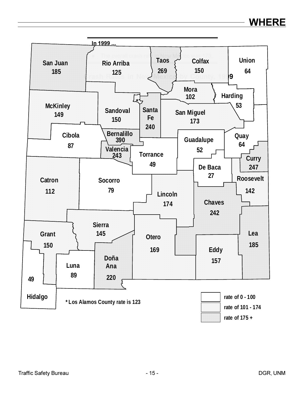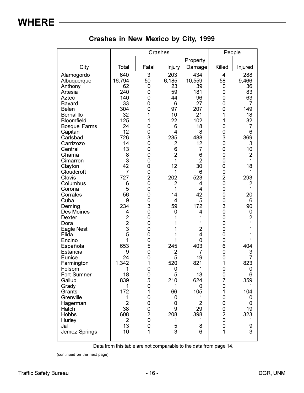|                                                                                                                                                                                                                                                                                                                                                                                                                                                                                                                |                                                                                                                                                                                                                                                                                                         | Crashes                                                                                                                                                                                                                              |                                                                                                                                                                                                                                                                                         |                                                                                                                                                                                                                                                                                       | People                                                                                                                                                                                                                                                                                                                                                                                                                  |                                                                                                                                                                                                                                                                                                      |
|----------------------------------------------------------------------------------------------------------------------------------------------------------------------------------------------------------------------------------------------------------------------------------------------------------------------------------------------------------------------------------------------------------------------------------------------------------------------------------------------------------------|---------------------------------------------------------------------------------------------------------------------------------------------------------------------------------------------------------------------------------------------------------------------------------------------------------|--------------------------------------------------------------------------------------------------------------------------------------------------------------------------------------------------------------------------------------|-----------------------------------------------------------------------------------------------------------------------------------------------------------------------------------------------------------------------------------------------------------------------------------------|---------------------------------------------------------------------------------------------------------------------------------------------------------------------------------------------------------------------------------------------------------------------------------------|-------------------------------------------------------------------------------------------------------------------------------------------------------------------------------------------------------------------------------------------------------------------------------------------------------------------------------------------------------------------------------------------------------------------------|------------------------------------------------------------------------------------------------------------------------------------------------------------------------------------------------------------------------------------------------------------------------------------------------------|
|                                                                                                                                                                                                                                                                                                                                                                                                                                                                                                                |                                                                                                                                                                                                                                                                                                         |                                                                                                                                                                                                                                      |                                                                                                                                                                                                                                                                                         | Property                                                                                                                                                                                                                                                                              |                                                                                                                                                                                                                                                                                                                                                                                                                         |                                                                                                                                                                                                                                                                                                      |
| City                                                                                                                                                                                                                                                                                                                                                                                                                                                                                                           | Total                                                                                                                                                                                                                                                                                                   | Fatal                                                                                                                                                                                                                                | Injury                                                                                                                                                                                                                                                                                  | Damage                                                                                                                                                                                                                                                                                | Killed                                                                                                                                                                                                                                                                                                                                                                                                                  | Injured                                                                                                                                                                                                                                                                                              |
| Alamogordo<br>Albuquerque<br>Anthony<br>Artesia<br>Aztec<br>Bayard<br><b>Belen</b><br>Bernalillo<br><b>Bloomfield</b><br><b>Bosque Farms</b><br>Capitan<br>Carlsbad<br>Carrizozo<br>Central<br>Chama<br>Cimarron<br>Clayton<br>Cloudcroft<br>Clovis<br>Columbus<br>Corona<br>Corrales<br>Cuba<br>Deming<br><b>Des Moines</b><br>Dexter<br>Dora<br>Eagle Nest<br>Elida<br>Encino<br>Española<br>Estancia<br>Eunice<br>Farmington<br>Folsom<br>Fort Sumner<br>Gallup<br>Grady<br>Grants<br>Grenville<br>Hagerman | 640<br>16,794<br>62<br>240<br>140<br>33<br>304<br>32<br>125<br>24<br>12<br>726<br>14<br>13<br>8<br>3<br>42<br>$\overline{7}$<br>727<br>6<br>5<br>56<br>9<br>234<br>4<br>$\overline{2}$<br>$\overline{2}$<br>3<br>5<br>1<br>653<br>9<br>24<br>1,342<br>1<br>18<br>839<br>1<br>172<br>1<br>$\overline{2}$ | 3<br>50<br>0<br>0<br>0<br>0<br>0<br>1<br>1<br>0<br>0<br>3<br>0<br>0<br>0<br>0<br>0<br>0<br>$\overline{2}$<br>0<br>0<br>0<br>0<br>3<br>0<br>0<br>$\overline{0}$<br>0<br>0<br>0<br>5<br>0<br>0<br>1<br>0<br>0<br>5<br>0<br>1<br>0<br>0 | 203<br>6,185<br>23<br>59<br>44<br>6<br>97<br>10<br>22<br>6<br>4<br>235<br>$\overline{c}$<br>6<br>$\overline{2}$<br>1<br>12<br>1<br>202<br>$\overline{2}$<br>1<br>14<br>4<br>59<br>0<br>1<br>1<br>1<br>1<br>1<br>245<br>$\overline{c}$<br>5<br>520<br>0<br>5<br>210<br>1<br>66<br>0<br>0 | 434<br>10,559<br>39<br>181<br>96<br>27<br>207<br>21<br>102<br>18<br>8<br>488<br>12<br>7<br>6<br>$\overline{2}$<br>30<br>6<br>523<br>4<br>4<br>42<br>5<br>172<br>4<br>1<br>1<br>$\overline{2}$<br>4<br>0<br>403<br>7<br>19<br>821<br>1<br>13<br>624<br>0<br>105<br>1<br>$\overline{2}$ | $\overline{4}$<br>58<br>0<br>0<br>0<br>0<br>0<br>1<br>1<br>0<br>0<br>3<br>0<br>0<br>$\mathbf 0$<br>$\mathbf 0$<br>$\mathbf 0$<br>$\mathbf 0$<br>$\overline{c}$<br>$\overline{0}$<br>$\mathbf 0$<br>$\mathbf 0$<br>$\mathbf 0$<br>3<br>0<br>$\mathbf 0$<br>$\overline{0}$<br>$\mathbf 0$<br>$\mathbf 0$<br>$\mathbf 0$<br>6<br>$\mathbf 0$<br>$\mathbf 0$<br>1<br>0<br>0<br>$\overline{7}$<br>0<br>1<br>0<br>$\mathbf 0$ | 288<br>9,466<br>36<br>83<br>63<br>7<br>149<br>18<br>32<br>7<br>6<br>369<br>3<br>10<br>$\overline{2}$<br>1<br>18<br>1<br>293<br>$\overline{2}$<br>1<br>20<br>6<br>90<br>0<br>$\overline{2}$<br>1<br>1<br>1<br>1<br>404<br>3<br>$\overline{7}$<br>823<br>0<br>6<br>359<br>1<br>104<br>0<br>$\mathbf 0$ |
| Hatch<br><b>Hobbs</b><br>Hurley<br>Jal<br>Jemez Springs                                                                                                                                                                                                                                                                                                                                                                                                                                                        | 38<br>608<br>$\overline{2}$<br>13<br>10                                                                                                                                                                                                                                                                 | 0<br>$\overline{2}$<br>0<br>0<br>$\mathbf{1}$                                                                                                                                                                                        | 9<br>208<br>1<br>5<br>3                                                                                                                                                                                                                                                                 | 29<br>398<br>1<br>8<br>6                                                                                                                                                                                                                                                              | $\pmb{0}$<br>$\frac{2}{0}$<br>$\mathsf{O}\xspace$<br>1                                                                                                                                                                                                                                                                                                                                                                  | 19<br>323<br>1<br>9<br>3                                                                                                                                                                                                                                                                             |
|                                                                                                                                                                                                                                                                                                                                                                                                                                                                                                                |                                                                                                                                                                                                                                                                                                         |                                                                                                                                                                                                                                      |                                                                                                                                                                                                                                                                                         |                                                                                                                                                                                                                                                                                       |                                                                                                                                                                                                                                                                                                                                                                                                                         |                                                                                                                                                                                                                                                                                                      |

Crashes in New Mexico by City, 1999

Data from this table are not comparable to the data from page 14.

(continued on the next page)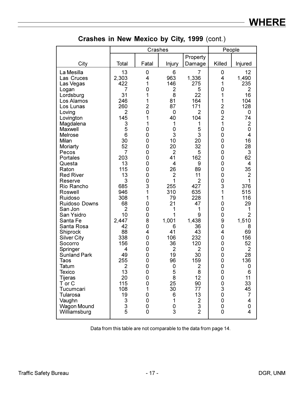|                                                                                                                                                                                                                                                                                                                                                                                                                                                                                                                                                                                    |                                                                                                                                                                                                                                                                                                                     | Crashes                                                                                                                                                                                                                          |                                                                                                                                                                                                                                                                                                                |                                                                                                                                                                                                                                                                                                                                 | People                                                                                                                                                                                                                                                          |                                                                                                                                                                                                                                                                                                               |
|------------------------------------------------------------------------------------------------------------------------------------------------------------------------------------------------------------------------------------------------------------------------------------------------------------------------------------------------------------------------------------------------------------------------------------------------------------------------------------------------------------------------------------------------------------------------------------|---------------------------------------------------------------------------------------------------------------------------------------------------------------------------------------------------------------------------------------------------------------------------------------------------------------------|----------------------------------------------------------------------------------------------------------------------------------------------------------------------------------------------------------------------------------|----------------------------------------------------------------------------------------------------------------------------------------------------------------------------------------------------------------------------------------------------------------------------------------------------------------|---------------------------------------------------------------------------------------------------------------------------------------------------------------------------------------------------------------------------------------------------------------------------------------------------------------------------------|-----------------------------------------------------------------------------------------------------------------------------------------------------------------------------------------------------------------------------------------------------------------|---------------------------------------------------------------------------------------------------------------------------------------------------------------------------------------------------------------------------------------------------------------------------------------------------------------|
|                                                                                                                                                                                                                                                                                                                                                                                                                                                                                                                                                                                    |                                                                                                                                                                                                                                                                                                                     |                                                                                                                                                                                                                                  |                                                                                                                                                                                                                                                                                                                | Property                                                                                                                                                                                                                                                                                                                        |                                                                                                                                                                                                                                                                 |                                                                                                                                                                                                                                                                                                               |
| City                                                                                                                                                                                                                                                                                                                                                                                                                                                                                                                                                                               | Total                                                                                                                                                                                                                                                                                                               | Fatal                                                                                                                                                                                                                            | Injury                                                                                                                                                                                                                                                                                                         | Damage                                                                                                                                                                                                                                                                                                                          | Killed                                                                                                                                                                                                                                                          | Injured                                                                                                                                                                                                                                                                                                       |
| La Mesilla<br>Las Cruces<br>Las Vegas<br>Logan<br>Lordsburg<br>Los Alamos<br>Los Lunas<br>Loving<br>Lovington<br>Magdalena<br>Maxwell<br>Melrose<br>Milan<br>Moriarty<br>Pecos<br>Portales<br>Questa<br>Raton<br><b>Red River</b><br>Reserve<br>Rio Rancho<br>Roswell<br>Ruidoso<br>Ruidoso Downs<br>San Jon<br>San Ysidro<br>Santa Fe<br>Santa Rosa<br>Shiprock<br><b>Silver City</b><br>Socorro<br>Springer<br><b>Sunland Park</b><br><b>Taos</b><br>Tatum<br><b>Texico</b><br><b>Tijeras</b><br>T or C<br>Tucumcari<br>Tularosa<br>Vaughn<br><b>Wagon Mound</b><br>Williamsburg | 13<br>2,303<br>422<br>7<br>31<br>246<br>260<br>$\overline{2}$<br>145<br>3<br>5<br>6<br>30<br>52<br>$\overline{7}$<br>203<br>13<br>115<br>13<br>3<br>685<br>946<br>308<br>68<br>$\overline{2}$<br>10<br>2,447<br>42<br>88<br>338<br>156<br>4<br>49<br>255<br>2<br>13<br>20<br>115<br>108<br>19<br>3<br>$\frac{3}{5}$ | 0<br>4<br>1<br>0<br>1<br>1<br>$\overline{2}$<br>0<br>1<br>1<br>0<br>0<br>0<br>0<br>0<br>0<br>0<br>0<br>0<br>0<br>3<br>1<br>1<br>0<br>0<br>0<br>8<br>0<br>4<br>0<br>0<br>0<br>0<br>0<br>0<br>0<br>0<br>0<br>1<br>0<br>0<br>0<br>0 | 6<br>963<br>146<br>$\overline{2}$<br>8<br>81<br>87<br>0<br>40<br>1<br>0<br>3<br>10<br>20<br>$\overline{2}$<br>41<br>4<br>26<br>$\overline{2}$<br>1<br>255<br>310<br>79<br>21<br>1<br>1<br>1,001<br>6<br>41<br>106<br>36<br>$\overline{2}$<br>19<br>96<br>0<br>5<br>8<br>25<br>30<br>6<br>1<br>$\mathbf 0$<br>3 | 7<br>1,336<br>275<br>5<br>22<br>164<br>171<br>$\overline{2}$<br>104<br>1<br>5<br>3<br>20<br>32<br>5<br>162<br>9<br>89<br>11<br>$\overline{2}$<br>427<br>635<br>228<br>47<br>1<br>9<br>1,438<br>36<br>43<br>232<br>120<br>$\overline{2}$<br>30<br>159<br>2<br>8<br>12<br>90<br>77<br>13<br>$\overline{c}$<br>3<br>$\overline{2}$ | 0<br>4<br>1<br>0<br>1<br>1<br>$\overline{2}$<br>0<br>$\overline{2}$<br>1<br>0<br>0<br>0<br>0<br>0<br>0<br>0<br>0<br>0<br>0<br>3<br>1<br>1<br>0<br>0<br>0<br>9<br>0<br>4<br>0<br>0<br>0<br>0<br>0<br>0<br>0<br>$\mathsf{O}\xspace$<br>0<br>3<br>0<br>0<br>0<br>0 | 12<br>1,490<br>235<br>$\overline{2}$<br>16<br>104<br>128<br>0<br>74<br>$\overline{2}$<br>0<br>4<br>16<br>28<br>3<br>62<br>4<br>35<br>2<br>1<br>376<br>515<br>116<br>29<br>1<br>$\overline{2}$<br>1,510<br>8<br>69<br>156<br>52<br>2<br>28<br>136<br>0<br>6<br>11<br>33<br>45<br>7<br>4<br>0<br>$\overline{4}$ |

Crashes in New Mexico by City, 1999 (cont.)

Data from this table are not comparable to the data from page 14.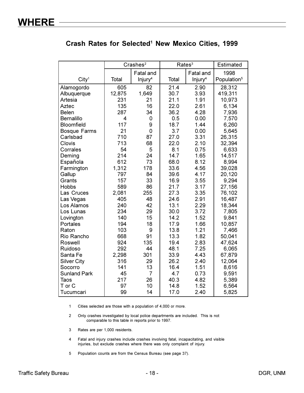#### Crash Rates for Selected<sup>1</sup> New Mexico Cities, 1999

|                     |        | Crashes <sup>2</sup> | Rates <sup>3</sup> |                     | <b>Estimated</b>        |
|---------------------|--------|----------------------|--------------------|---------------------|-------------------------|
|                     |        | Fatal and            |                    | Fatal and           | 1998                    |
| City <sup>1</sup>   | Total  | Injury <sup>4</sup>  | Total              | Injury <sup>4</sup> | Population <sup>5</sup> |
| Alamogordo          | 605    | 82                   | 21.4               | 2.90                | 28,312                  |
| Albuquerque         | 12,875 | 1,649                | 30.7               | 3.93                | 419,311                 |
| Artesia             | 231    | 21                   | 21.1               | 1.91                | 10,973                  |
| Aztec               | 135    | 16                   | 22.0               | 2.61                | 6,134                   |
| <b>Belen</b>        | 287    | 34                   | 36.2               | 4.28                | 7,936                   |
| <b>Bernalillo</b>   | 4      | 0                    | 0.5                | 0.00                | 7,570                   |
| <b>Bloomfield</b>   | 117    | 9                    | 18.7               | 1.44                | 6,260                   |
| <b>Bosque Farms</b> | 21     | 0                    | 3.7                | 0.00                | 5,645                   |
| Carlsbad            | 710    | 87                   | 27.0               | 3.31                | 26,315                  |
| Clovis              | 713    | 68                   | 22.0               | 2.10                | 32,394                  |
| Corrales            | 54     | 5                    | 8.1                | 0.75                | 6,633                   |
| Deming              | 214    | 24                   | 14.7               | 1.65                | 14,517                  |
| Española            | 612    | 73                   | 68.0               | 8.12                | 8,994                   |
| Farmington          | 1,312  | 178                  | 33.6               | 4.56                | 39,028                  |
| Gallup              | 797    | 84                   | 39.6               | 4.17                | 20,120                  |
| Grants              | 157    | 33                   | 16.9               | 3.55                | 9,294                   |
| <b>Hobbs</b>        | 589    | 86                   | 21.7               | 3.17                | 27,156                  |
| Las Cruces          | 2,081  | 255                  | 27.3               | 3.35                | 76,102                  |
| Las Vegas           | 405    | 48                   | 24.6               | 2.91                | 16,487                  |
| Los Alamos          | 240    | 42                   | 13.1               | 2.29                | 18,344                  |
| Los Lunas           | 234    | 29                   | 30.0               | 3.72                | 7,805                   |
| Lovington           | 140    | 15                   | 14.2               | 1.52                | 9,841                   |
| Portales            | 194    | 18                   | 17.9               | 1.66                | 10,857                  |
| Raton               | 103    | 9                    | 13.8               | 1.21                | 7,466                   |
| Rio Rancho          | 668    | 91                   | 13.3               | 1.82                | 50,041                  |
| Roswell             | 924    | 135                  | 19.4               | 2.83                | 47,624                  |
| Ruidoso             | 292    | 44                   | 48.1               | 7.25                | 6,065                   |
| Santa Fe            | 2,298  | 301                  | 33.9               | 4.43                | 67,879                  |
| <b>Silver City</b>  | 316    | 29                   | 26.2               | 2.40                | 12,064                  |
| Socorro             | 141    | 13                   | 16.4               | 1.51                | 8,616                   |
| <b>Sunland Park</b> | 45     | 7                    | 4.7                | 0.73                | 9,591                   |
| Taos                | 217    | 26                   | 40.3               | 4.82                | 5,389                   |
| T or C              | 97     | 10                   | 14.8               | 1.52                | 6,564                   |
| Tucumcari           | 99     | 14                   | 17.0               | 2.40                | 5,825                   |

Cities selected are those with a population of 4,000 or more.  $\mathbf{1}$ 

 $\overline{2}$ Only crashes investigated by local police departments are included. This is not comparable to this table in reports prior to 1997.

- Rates are per 1,000 residents.  $\mathbf{3}$
- Fatal and injury crashes include crashes involving fatal, incapacitating, and visible  $\overline{\mathbf{4}}$ injuries, but exclude crashes where there was only complaint of injury.

5 Population counts are from the Census Bureau (see page 37).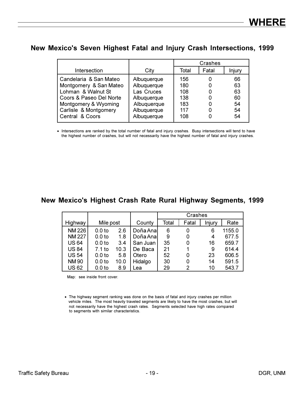#### New Mexico's Seven Highest Fatal and Injury Crash Intersections, 1999

|                         |             | Crashes |       |        |  |
|-------------------------|-------------|---------|-------|--------|--|
| Intersection            | City        | Total   | Fatal | Injury |  |
| Candelaria & San Mateo  | Albuquerque | 156     |       | 66     |  |
| Montgomery & San Mateo  | Albuquerque | 180     |       | 63     |  |
| Lohman & Walnut St      | Las Cruces  | 108     |       | 63     |  |
| Coors & Paseo Del Norte | Albuquerque | 138     |       | 60     |  |
| Montgomery & Wyoming    | Albuquerque | 183     |       | 54     |  |
| Carlisle & Montgomery   | Albuquerque | 117     |       | 54     |  |
| Central & Coors         | Albuquerque | 108     |       | 54     |  |
|                         |             |         |       |        |  |

• Intersections are ranked by the total number of fatal and injury crashes. Busy intersections will tend to have the highest number of crashes, but will not necessarily have the highest number of fatal and injury crashes.

#### New Mexico's Highest Crash Rate Rural Highway Segments, 1999

|              |                   |      |           | Crashes |       |               |        |  |  |  |
|--------------|-------------------|------|-----------|---------|-------|---------------|--------|--|--|--|
| Highway      | Mile post         |      | County    | Total   | Fatal | <b>Injury</b> | Rate   |  |  |  |
| <b>NM226</b> | 0.0 <sub>to</sub> | 2.6  | Doña Ana  | 6       | 0     | 6             | 1155.0 |  |  |  |
| <b>NM227</b> | 0.0 <sub>to</sub> | 1.8  | Doña Anal | 9       | 0     | 4             | 677.5  |  |  |  |
| <b>US64</b>  | 0.0 <sub>to</sub> | 3.4  | San Juan  | 35      | 0     | 16            | 659.7  |  |  |  |
| <b>US 84</b> | 7.1 to            | 10.3 | De Baca   | 21      | 1     | 9             | 614.4  |  |  |  |
| <b>US 54</b> | 0.0 <sub>to</sub> | 5.8  | Otero     | 52      | 0     | 23            | 606.5  |  |  |  |
| <b>NM90</b>  | 0.0 <sub>to</sub> | 10.0 | Hidalgo   | 30      | 0     | 14            | 591.5  |  |  |  |
| <b>US62</b>  | 0.0 <sub>to</sub> | 8.9  | Lea       | 29      | 2     | 10            | 543.7  |  |  |  |

Map: see inside front cover.

• The highway segment ranking was done on the basis of fatal and injury crashes per million vehicle miles. The most heavily traveled segments are likely to have the most crashes, but will not necessarily have the highest crash rates. Segments selected have high rates compared to segments with similar characteristics.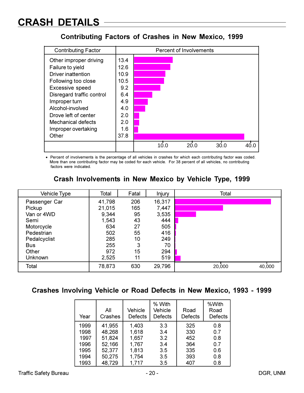# **CRASH DETAILS**

#### **Contributing Factors of Crashes in New Mexico, 1999**

| <b>Contributing Factor</b> |      | Percent of Involvements |      |      |      |      |  |  |
|----------------------------|------|-------------------------|------|------|------|------|--|--|
| Other improper driving     | 13.4 |                         |      |      |      |      |  |  |
| Failure to yield           | 12.6 |                         |      |      |      |      |  |  |
| Driver inattention         | 10.9 |                         |      |      |      |      |  |  |
| Following too close        | 10.5 |                         |      |      |      |      |  |  |
| Excessive speed            | 9.2  |                         |      |      |      |      |  |  |
| Disregard traffic control  | 6.4  |                         |      |      |      |      |  |  |
| Improper turn              | 4.9  |                         |      |      |      |      |  |  |
| Alcohol-involved           | 4.0  |                         |      |      |      |      |  |  |
| Drove left of center       | 2.0  |                         |      |      |      |      |  |  |
| <b>Mechanical defects</b>  | 2.0  |                         |      |      |      |      |  |  |
| Improper overtaking        | 1.6  |                         |      |      |      |      |  |  |
| Other                      | 37.8 |                         |      |      |      |      |  |  |
|                            |      |                         | 10.0 | 20.O | 30.0 | 40 C |  |  |

• Percent of involvements is the percentage of all vehicles in crashes for which each contributing factor was coded. More than one contributing factor may be coded for each vehicle. For 38 percent of all vehicles, no contributing factors were indicated.

| Vehicle Type  | Total  | Fatal | Injury | Total            |
|---------------|--------|-------|--------|------------------|
| Passenger Car | 41,798 | 206   | 16,317 |                  |
| Pickup        | 21,015 | 165   | 7,447  |                  |
| Van or 4WD    | 9,344  | 95    | 3,535  |                  |
| Semi          | 1,543  | 43    | 444    |                  |
| Motorcycle    | 634    | 27    | 505    |                  |
| Pedestrian    | 502    | 55    | 416    |                  |
| Pedalcyclist  | 285    | 10    | 249    |                  |
| <b>Bus</b>    | 255    | 3     | 70     |                  |
| Other         | 972    | 15    | 294    |                  |
| Unknown       | 2,525  | 11    | 519    |                  |
| Total         | 78,873 | 630   | 29,796 | 20,000<br>40,000 |

#### Crash Involvements in New Mexico by Vehicle Type, 1999

#### Crashes Involving Vehicle or Road Defects in New Mexico, 1993 - 1999

| Year | All<br>Crashes | Vehicle<br><b>Defects</b> | % With<br>Vehicle<br><b>Defects</b> | Road<br><b>Defects</b> | %With<br>Road<br><b>Defects</b> |
|------|----------------|---------------------------|-------------------------------------|------------------------|---------------------------------|
| 1999 | 41,955         | 1,403                     | 3.3                                 | 325                    | 0.8                             |
| 1998 | 48,268         | 1,618                     | 3.4                                 | 330                    | 0.7                             |
| 1997 | 51,824         | 1,657                     | 3.2                                 | 452                    | 0.8                             |
| 1996 | 52,166         | 1,767                     | 3.4                                 | 364                    | 0.7                             |
| 1995 | 52,377         | 1,813                     | 3.5                                 | 335                    | 0.6                             |
| 1994 | 50,275         | 1,754                     | 3.5                                 | 393                    | 0.8                             |
| 1993 | 48,729         | 1,717                     | 3.5                                 | 407                    | 0.8                             |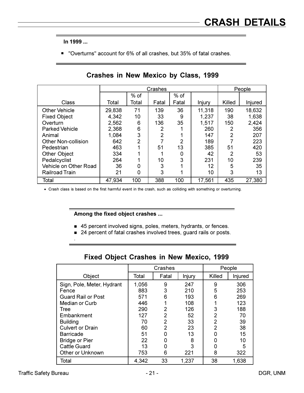■ "Overturns" account for 6% of all crashes, but 35% of fatal crashes.

|                            |        |                | Crashes |        |               | People |         |
|----------------------------|--------|----------------|---------|--------|---------------|--------|---------|
|                            |        | $%$ of         |         | $%$ of |               |        |         |
| Class                      | Total  | Total          | Fatal   | Fatal  | <b>Injury</b> | Killed | Injured |
| <b>Other Vehicle</b>       | 29,838 | 71             | 139     | 36     | 11,318        | 190    | 18,632  |
| <b>Fixed Object</b>        | 4,342  | 10             | 33      | 9      | 1,237         | 38     | 1,638   |
| Overturn                   | 2,562  | 6              | 136     | 35     | 1,517         | 150    | 2,424   |
| <b>Parked Vehicle</b>      | 2,368  | 6              | 2       |        | 260           | 2      | 356     |
| Animal                     | 1,084  | 3              | 2       |        | 147           | 2      | 207     |
| <b>Other Non-collision</b> | 642    | $\mathfrak{p}$ |         | 2      | 189           |        | 223     |
| Pedestrian                 | 463    |                | 51      | 13     | 385           | 51     | 420     |
| <b>Other Object</b>        | 334    |                |         | 0      | 42            | 2      | 53      |
| Pedalcyclist               | 264    |                | 10      | 3      | 231           | 10     | 239     |
| Vehicle on Other Road      | 36     | 0              | 3       |        | 12            | 5      | 35      |
| <b>Railroad Train</b>      | 21     | 0              | 3       |        | 10            | 3      | 13      |
| Total                      | 47,934 | 100            | 388     | 100    | 17,561        | 435    | 27,380  |

#### Crashes in New Mexico by Class, 1999

• Crash class is based on the first harmful event in the crash, such as colliding with something or overturning.

#### Among the fixed object crashes ...

- 45 percent involved signs, poles, meters, hydrants, or fences.
- 24 percent of fatal crashes involved trees, guard rails or posts.

|                            |       | Crashes |        | People |         |  |
|----------------------------|-------|---------|--------|--------|---------|--|
| Object                     | Total | Fatal   | Injury | Killed | Injured |  |
| Sign, Pole, Meter, Hydrant | 1,056 | 9       | 247    | 9      | 306     |  |
| Fence                      | 883   | 3       | 210    | 5      | 253     |  |
| <b>Guard Rail or Post</b>  | 571   | 6       | 193    | 6      | 269     |  |
| Median or Curb             | 446   |         | 108    |        | 123     |  |
| Tree                       | 290   | 2       | 126    | 3      | 188     |  |
| Embankment                 | 127   | 2       | 52     | 2      | 70      |  |
| <b>Building</b>            | 70    | 2       | 33     | 2      | 39      |  |
| <b>Culvert or Drain</b>    | 60    | 2       | 23     | 2      | 38      |  |
| <b>Barricade</b>           | 51    |         | 13     |        | 15      |  |
| <b>Bridge or Pier</b>      | 22    |         | 8      |        | 10      |  |
| <b>Cattle Guard</b>        | 13    | ი       | 3      | 0      | 5       |  |
| Other or Unknown           | 753   | 6       | 221    | 8      | 322     |  |
| Total                      | 4,342 | 33      | 1,237  | 38     | 1,638   |  |

#### Fixed Object Crashes in New Mexico, 1999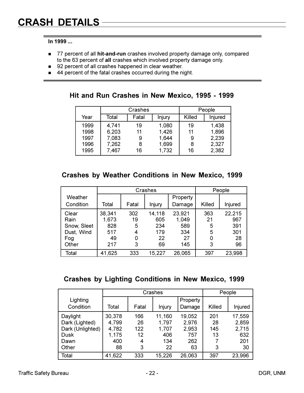- 77 percent of all hit-and-run crashes involved property damage only, compared to the 63 percent of all crashes which involved property damage only.
- 92 percent of all crashes happened in clear weather.
- 44 percent of the fatal crashes occurred during the night.

|  |  | Hit and Run Crashes in New Mexico, 1995 - 1999 |  |  |  |  |  |  |
|--|--|------------------------------------------------|--|--|--|--|--|--|
|--|--|------------------------------------------------|--|--|--|--|--|--|

|      |       | Crashes |        | People |         |
|------|-------|---------|--------|--------|---------|
| Year | Total | Fatal   | Injury | Killed | Injured |
| 1999 | 4,741 | 19      | 1,080  | 19     | 1,438   |
| 1998 | 6,203 | 11      | 1,426  | 11     | 1,896   |
| 1997 | 7,083 | 9       | 1,644  | 9      | 2,239   |
| 1996 | 7,262 | 8       | 1,699  | 8      | 2,327   |
| 1995 | 7,467 | 16      | 1,732  | 16     | 2,382   |

#### **Crashes by Weather Conditions in New Mexico, 1999**

|             |        |       | Crashes |          |        | People  |
|-------------|--------|-------|---------|----------|--------|---------|
| Weather     |        |       |         | Property |        |         |
| Condition   | Total  | Fatal | Injury  | Damage   | Killed | Injured |
| Clear       | 38,341 | 302   | 14,118  | 23,921   | 363    | 22,215  |
| Rain        | 1,673  | 19    | 605     | 1,049    | 21     | 967     |
| Snow, Sleet | 828    | 5     | 234     | 589      | 5      | 391     |
| Dust, Wind  | 517    | 4     | 179     | 334      | 5      | 301     |
| Fog         | 49     | 0     | 22      | 27       |        | 28      |
| Other       | 217    | 3     | 69      | 145      | 3      | 96      |
| Total       | 41,625 | 333   | 15,227  | 26,065   | 397    | 23,998  |

### Crashes by Lighting Conditions in New Mexico, 1999

|                  |        |       | Crashes |          |        | People  |
|------------------|--------|-------|---------|----------|--------|---------|
| Lighting         |        |       |         | Property |        |         |
| Condition        | Total  | Fatal | Injury  | Damage   | Killed | Injured |
| Daylight         | 30,378 | 166   | 11,160  | 19,052   | 201    | 17,559  |
| Dark (Lighted)   | 4,799  | 26    | 1,797   | 2,976    | 28     | 2,859   |
| Dark (Unlighted) | 4,782  | 122   | 1,707   | 2,953    | 145    | 2,715   |
| <b>Dusk</b>      | 1,175  | 12    | 406     | 757      | 13     | 632     |
| Dawn             | 400    | 4     | 134     | 262      |        | 201     |
| Other            | 88     | 3     | 22      | 63       | 3      | 30      |
| Total            | 41,622 | 333   | 15,226  | 26,063   | 397    | 23,996  |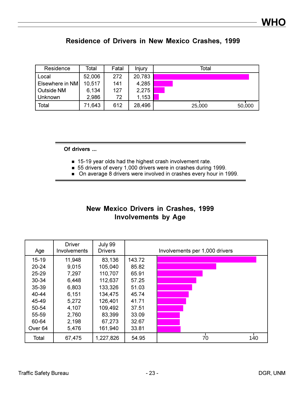| <b>Residence of Drivers in New Mexico Crashes, 1999</b> |  |  |  |  |  |  |  |
|---------------------------------------------------------|--|--|--|--|--|--|--|
|---------------------------------------------------------|--|--|--|--|--|--|--|

| Residence       | Total  | Fatal | Injury | Total            |
|-----------------|--------|-------|--------|------------------|
| Local           | 52,006 | 272   | 20,783 |                  |
| Elsewhere in NM | 10,517 | 141   | 4,285  |                  |
| Outside NM      | 6,134  | 127   | 2,275  |                  |
| Unknown         | 2,986  | 72    | 1,153  |                  |
| Total           | 71,643 | 612   | 28,496 | 25,000<br>50,000 |

Of drivers ...

- **15-19 year olds had the highest crash involvement rate.**
- 55 drivers of every 1,000 drivers were in crashes during 1999.
- On average 8 drivers were involved in crashes every hour in 1999.

### New Mexico Drivers in Crashes, 1999 **Involvements by Age**

| Age                | <b>Driver</b><br>Involvements | July 99<br><b>Drivers</b> |        | Involvements per 1,000 drivers |
|--------------------|-------------------------------|---------------------------|--------|--------------------------------|
| $15 - 19$          | 11,948                        | 83,136                    | 143.72 |                                |
| $20 - 24$          | 9,015                         | 105,040                   | 85.82  |                                |
| $25 - 29$          | 7,297                         | 110,707                   | 65.91  |                                |
| 30-34              | 6,448                         | 112,637                   | 57.25  |                                |
| 35-39              | 6,803                         | 133,326                   | 51.03  |                                |
| 40-44              | 6,151                         | 134,475                   | 45.74  |                                |
| 45-49              | 5,272                         | 126,401                   | 41.71  |                                |
| 50-54              | 4,107                         | 109,492                   | 37.51  |                                |
| 55-59              | 2,760                         | 83,399                    | 33.09  |                                |
| 60-64              | 2,198                         | 67,273                    | 32.67  |                                |
| Over <sub>64</sub> | 5,476                         | 161,940                   | 33.81  |                                |
| Total              | 67,475                        | 1,227,826                 | 54.95  | 140<br>70                      |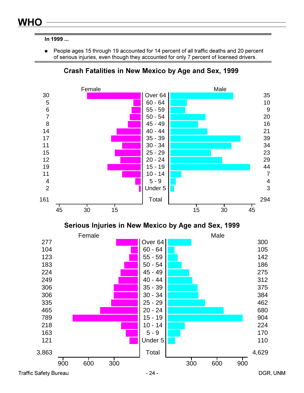■ People ages 15 through 19 accounted for 14 percent of all traffic deaths and 20 percent of serious injuries, even though they accounted for only 7 percent of licensed drivers.



**Crash Fatalities in New Mexico by Age and Sex, 1999** 



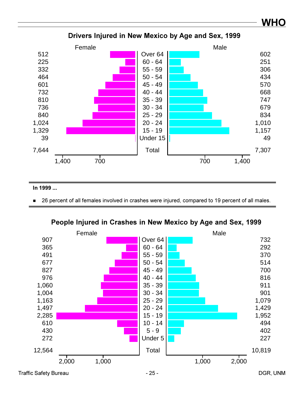

#### Drivers Injured in New Mexico by Age and Sex, 1999

#### In 1999 ...

■ 26 percent of all females involved in crashes were injured, compared to 19 percent of all males.



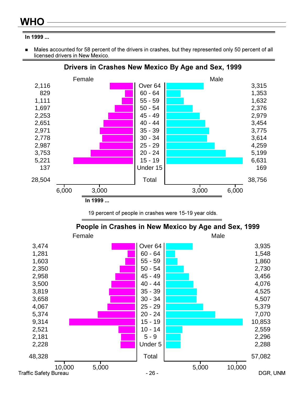Males accounted for 58 percent of the drivers in crashes, but they represented only 50 percent of all licensed drivers in New Mexico.



#### Drivers in Crashes New Mexico By Age and Sex, 1999

19 percent of people in crashes were 15-19 year olds.

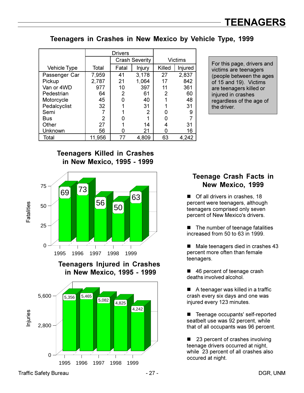Teenagers in Crashes in New Mexico by Vehicle Type, 1999

|               |                | <b>Drivers</b> |                       |                |         |  |  |
|---------------|----------------|----------------|-----------------------|----------------|---------|--|--|
|               |                |                | <b>Crash Severity</b> |                | Victims |  |  |
| Vehicle Type  | Total          | Fatal          | <b>Injury</b>         | Killed         | Injured |  |  |
| Passenger Car | 7,959          | 41             | 3,178                 | 27             | 2,837   |  |  |
| Pickup        | 2,787          | 21             | 1,064                 | 17             | 842     |  |  |
| Van or 4WD    | 977            | 10             | 397                   | 11             | 361     |  |  |
| Pedestrian    | 64             | 2              | 61                    | $\overline{2}$ | 60      |  |  |
| Motorcycle    | 45             | 0              | 40                    |                | 48      |  |  |
| Pedalcyclist  | 32             |                | 31                    |                | 31      |  |  |
| Semi          |                |                | 2                     | 0              | 9       |  |  |
| <b>Bus</b>    | $\overline{2}$ | 0              | 1                     | ი              |         |  |  |
| Other         | 27             |                | 14                    | 4              | 31      |  |  |
| Unknown       | 56             | Ω              | 21                    |                | 16      |  |  |
| Total         | 11,956         | 77             | 4,809                 | 63             | 4,242   |  |  |

For this page, drivers and victims are teenagers (people between the ages of 15 and 19). Victims are teenagers killed or injured in crashes regardless of the age of the driver.

#### **Teenagers Killed in Crashes in New Mexico, 1995 - 1999**



in New Mexico, 1995 - 1999



### **Teenage Crash Facts in New Mexico, 1999**

**Of all drivers in crashes, 18** percent were teenagers, although teenagers comprised only seven percent of New Mexico's drivers.

■ The number of teenage fatalities increased from 50 to 63 in 1999.

■ Male teenagers died in crashes 43 percent more often than female teenagers.

■ 46 percent of teenage crash deaths involved alcohol.

A teenager was killed in a traffic crash every six days and one was injured every 123 minutes.

Teenage occupants' self-reported seatbelt use was 92 percent, while that of all occupants was 96 percent.

■ 23 percent of crashes involving teenage drivers occurred at night, while 23 percent of all crashes also occured at night.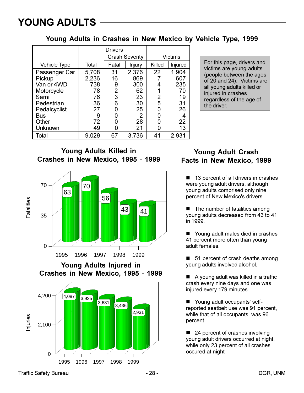Young Adults in Crashes in New Mexico by Vehicle Type, 1999

|               |       | <b>Drivers</b> |                       |        |         |
|---------------|-------|----------------|-----------------------|--------|---------|
|               |       |                | <b>Crash Severity</b> |        | Victims |
| Vehicle Type  | Total | Fatal          | Injury                | Killed | Injured |
| Passenger Car | 5,708 | 31             | 2,376                 | 22     | 1,904   |
| Pickup        | 2,236 | 16             | 869                   |        | 607     |
| Van or 4WD    | 738   | 9              | 300                   |        | 235     |
| Motorcycle    | 78    | 2              | 62                    |        | 70      |
| Semi          | 76    | 3              | 23                    | 2      | 19      |
| Pedestrian    | 36    | 6              | 30                    | 5      | 31      |
| Pedalcyclist  | 27    | O              | 25                    | O      | 26      |
| <b>Bus</b>    | 9     | O              | 2                     | O      | 4       |
| Other         | 72    |                | 28                    |        | 22      |
| Unknown       | 49    |                | 21                    |        | 13      |
| Total         | 9,029 | 67             | 3,736                 | 41     | 2,931   |

For this page, drivers and victims are young adults (people between the ages of 20 and 24). Victims are all young adults killed or injured in crashes regardless of the age of the driver.

**Young Adults Killed in** Crashes in New Mexico, 1995 - 1999



**Young Adults Injured in** Crashes in New Mexico, 1995 - 1999



### **Young Adult Crash Facts in New Mexico, 1999**

■ 13 percent of all drivers in crashes were young adult drivers, although young adults comprised only nine percent of New Mexico's drivers.

The number of fatalities among young adults decreased from 43 to 41 in 1999.

■ Young adult males died in crashes 41 percent more often than young adult females.

■ 51 percent of crash deaths among young adults involved alcohol.

A young adult was killed in a traffic crash every nine days and one was injured every 179 minutes.

Young adult occupants' selfreported seatbelt use was 91 percent, while that of all occupants was 96 percent.

24 percent of crashes involving young adult drivers occurred at night. while only 23 percent of all crashes occured at night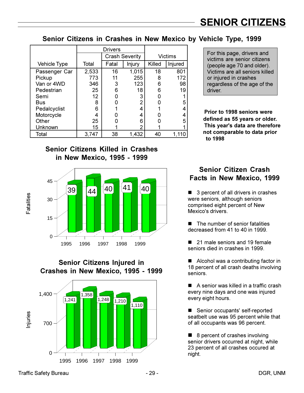#### Senior Citizens in Crashes in New Mexico by Vehicle Type, 1999

|                     |       | <b>Drivers</b> |                       |        |         |
|---------------------|-------|----------------|-----------------------|--------|---------|
|                     |       |                | <b>Crash Severity</b> |        | Victims |
| <b>Vehicle Type</b> | Total | Fatal          | Injury                | Killed | Injured |
| Passenger Car       | 2,533 | 16             | 1,015                 | 18     | 801     |
| Pickup              | 773   | 11             | 255                   | 8      | 172     |
| Van or 4WD          | 346   | 3              | 123                   | 6      | 98      |
| Pedestrian          | 25    | 6              | 18                    | 6      | 19      |
| Semi                | 12    |                | 3                     |        |         |
| Bus                 | 8     |                | $\overline{2}$        |        | 5       |
| Pedalcyclist        | 6     |                | 4                     |        |         |
| Motorcycle          |       |                | 4                     |        | 4       |
| Other               | 25    |                | 6                     |        | 5       |
| Unknown             | 15    |                | າ                     |        |         |
| Total               | 3,747 | 38             | 1,432                 | 40     | 1,110   |

#### **Senior Citizens Killed in Crashes** in New Mexico, 1995 - 1999



**Senior Citizens Injured in** Crashes in New Mexico, 1995 - 1999



For this page, drivers and victims are senior citizens (people age 70 and older). Victims are all seniors killed or injured in crashes regardless of the age of the driver.

Prior to 1998 seniors were defined as 55 years or older. This year's data are therefore not comparable to data prior to 1998

#### **Senior Citizen Crash** Facts in New Mexico, 1999

3 percent of all drivers in crashes were seniors, although seniors comprised eight percent of New Mexico's drivers.

The number of senior fatalities  $\mathbf{r}$ decreased from 41 to 40 in 1999.

■ 21 male seniors and 19 female seniors died in crashes in 1999.

Alcohol was a contributing factor in 18 percent of all crash deaths involving seniors.

A senior was killed in a traffic crash every nine days and one was injured every eight hours.

Senior occupants' self-reported seatbelt use was 95 percent while that of all occupants was 96 percent.

■ 8 percent of crashes involving senior drivers occurred at night, while 23 percent of all crashes occured at night.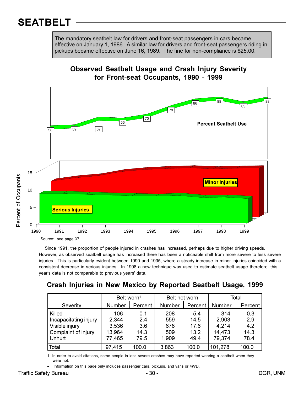# **SEATBELT**

The mandatory seatbelt law for drivers and front-seat passengers in cars became effective on January 1, 1986. A similar law for drivers and front-seat passengers riding in pickups became effective on June 16, 1989. The fine for non-compliance is \$25.00.





Since 1991, the proportion of people injured in crashes has increased, perhaps due to higher driving speeds. However, as observed seatbelt usage has increased there has been a noticeable shift from more severe to less severe injuries. This is particularly evident between 1990 and 1995, where a steady increase in minor injuries coincided with a consistent decrease in serious injuries. In 1998 a new technique was used to estimate seatbelt usage therefore, this year's data is not comparable to previous years' data.

### Crash Injuries in New Mexico by Reported Seatbelt Usage, 1999

|                       | Belt worn <sup>1</sup> |         | Belt not worn |         | Total   |         |
|-----------------------|------------------------|---------|---------------|---------|---------|---------|
| Severity              | <b>Number</b>          | Percent | Number        | Percent | Number  | Percent |
| Killed                | 106                    | 0.1     | 208           | 5.4     | 314     | 0.3     |
| Incapacitating injury | 2,344                  | 2.4     | 559           | 14.5    | 2,903   | 2.9     |
| Visible injury        | 3,536                  | 3.6     | 678           | 17.6    | 4,214   | 4.2     |
| Complaint of injury   | 13,964                 | 14.3    | 509           | 13.2    | 14,473  | 14.3    |
| Unhurt                | 77,465                 | 79.5    | 1,909         | 49.4    | 79,374  | 78.4    |
| ∣ Total               | 97,415                 | 100.0   | 3,863         | 100.0   | 101,278 | 100.0   |

1 In order to avoid citations, some people in less severe crashes may have reported wearing a seatbelt when they were not.

Information on this page only includes passenger cars, pickups, and vans or 4WD.

 $\bullet$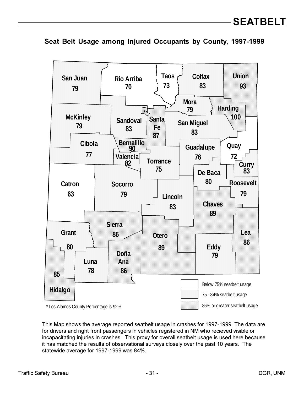

**Seat Belt Usage among Injured Occupants by County, 1997-1999** 

This Map shows the average reported seatbelt usage in crashes for 1997-1999. The data are for drivers and right front passengers in vehicles registered in NM who recieved visible or incapacitating injuries in crashes. This proxy for overall seatbelt usage is used here because it has matched the results of observational surveys closely over the past 10 years. The statewide average for 1997-1999 was 84%.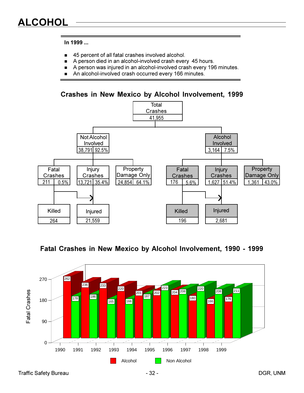- **45** percent of all fatal crashes involved alcohol.
- **A** person died in an alcohol-involved crash every 45 hours.
- A person was injured in an alcohol-involved crash every 196 minutes.
- **An alcohol-involved crash occurred every 166 minutes.**

**Crashes in New Mexico by Alcohol Involvement, 1999** 



**Fatal Crashes in New Mexico by Alcohol Involvement, 1990 - 1999** 

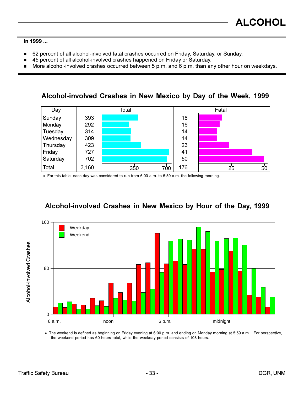- 62 percent of all alcohol-involved fatal crashes occurred on Friday, Saturday, or Sunday.  $\blacksquare$
- 45 percent of all alcohol-involved crashes happened on Friday or Saturday.
- More alcohol-involved crashes occurred between 5 p.m. and 6 p.m. than any other hour on weekdays.  $\blacksquare$

Alcohol-involved Crashes in New Mexico by Day of the Week, 1999

| Day       |       | Total |     |     | Fatal |    |    |  |
|-----------|-------|-------|-----|-----|-------|----|----|--|
| Sunday    | 393   |       |     | 18  |       |    |    |  |
| Monday    | 292   |       |     | 16  |       |    |    |  |
| Tuesday   | 314   |       |     | 14  |       |    |    |  |
| Wednesday | 309   |       |     | 14  |       |    |    |  |
| Thursday  | 423   |       |     | 23  |       |    |    |  |
| Friday    | 727   |       |     | 41  |       |    |    |  |
| Saturday  | 702   |       |     | 50  |       |    |    |  |
| Total     | 3,160 | 350   | 700 | 176 |       | 25 | 50 |  |

• For this table, each day was considered to run from 6:00 a.m. to 5:59 a.m. the following morning.

### Alcohol-involved Crashes in New Mexico by Hour of the Day, 1999



• The weekend is defined as beginning on Friday evening at 6:00 p.m. and ending on Monday morning at 5:59 a.m. For perspective, the weekend period has 60 hours total, while the weekday period consists of 108 hours.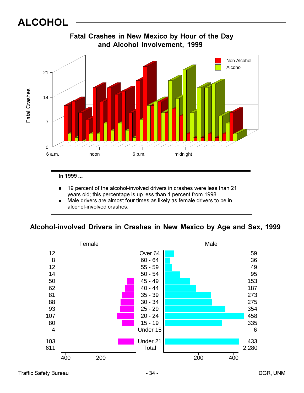# **ALCOHOL**



In 1999 ...

- **19** percent of the alcohol-involved drivers in crashes were less than 21 years old; this percentage is up less than 1 percent from 1998.
- **.** Male drivers are almost four times as likely as female drivers to be in alcohol-involved crashes.

#### Alcohol-involved Drivers in Crashes in New Mexico by Age and Sex, 1999

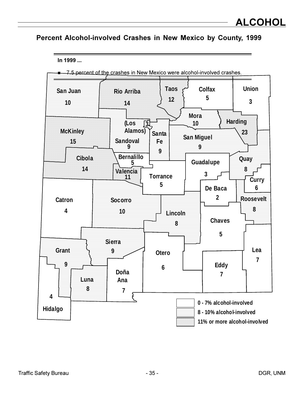### Percent Alcohol-involved Crashes in New Mexico by County, 1999

In 1999 ...

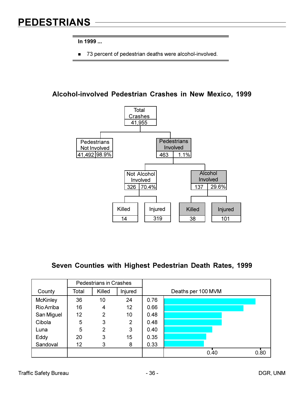# **PEDESTRIANS**

In 1999 ...

73 percent of pedestrian deaths were alcohol-involved.

#### Alcohol-involved Pedestrian Crashes in New Mexico, 1999



#### Seven Counties with Highest Pedestrian Death Rates, 1999

|                 |       | <b>Pedestrians in Crashes</b> |         |      |                    |
|-----------------|-------|-------------------------------|---------|------|--------------------|
| County          | Total | Killed                        | Injured |      | Deaths per 100 MVM |
| <b>McKinley</b> | 36    | 10                            | 24      | 0.76 |                    |
| Rio Arriba      | 16    | 4                             | 12      | 0.66 |                    |
| San Miguel      | 12    | 2                             | 10      | 0.48 |                    |
| Cibola          | 5     | 3                             | 2       | 0.48 |                    |
| Luna            | 5     | $\overline{2}$                | 3       | 0.40 |                    |
| Eddy            | 20    | 3                             | 15      | 0.35 |                    |
| Sandoval        | 12    | 3                             | 8       | 0.33 |                    |
|                 |       |                               |         |      | 0.40<br>0.80       |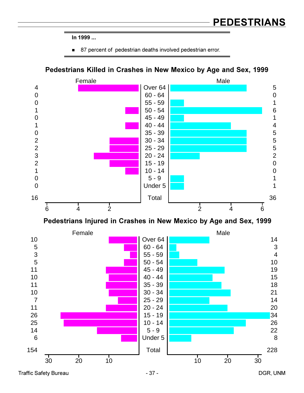■ 87 percent of pedestrian deaths involved pedestrian error.





Pedestrians Injured in Crashes in New Mexico by Age and Sex, 1999

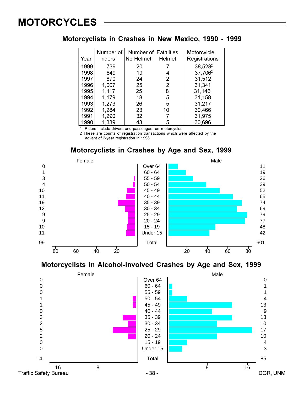# **MOTORCYCLES**

#### **Motorcyclists in Crashes in New Mexico, 1990 - 1999**

| Year | Number of<br>riders <sup>1</sup> | <b>Number of Fatalities</b><br>No Helmet | <b>Helmet</b> | Motorcylcle<br>Registrations |
|------|----------------------------------|------------------------------------------|---------------|------------------------------|
| 1999 | 739                              | 20                                       |               | 38,528 <sup>2</sup>          |
| 1998 | 849                              | 19                                       | 4             | 37,706 <sup>2</sup>          |
| 1997 | 870                              | 24                                       | 2             | 31,512                       |
| 1996 | 1,007                            | 25                                       | 2             | 31,341                       |
| 1995 | 1,117                            | 25                                       | 8             | 31,146                       |
| 1994 | 1,179                            | 18                                       | 5             | 31,158                       |
| 1993 | 1,273                            | 26                                       | 5             | 31,217                       |
| 1992 | 1,284                            | 23                                       | 10            | 30,466                       |
| 1991 | 1,290                            | 32                                       |               | 31,975                       |
| 1990 | 1,339                            | 43                                       | 5             | 30,696                       |

1 Riders include drivers and passengers on motorcycles.

2 These are counts of registration transactions which were affected by the advent of 2-year registration in 1998.

#### **Motorcyclists in Crashes by Age and Sex, 1999**





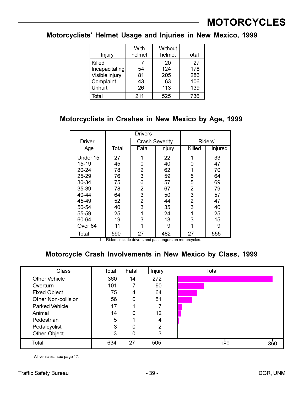#### Motorcyclists' Helmet Usage and Injuries in New Mexico, 1999

| Injury                   | With<br>helmet | Without<br>helmet | Total      |
|--------------------------|----------------|-------------------|------------|
| Killed<br>Incapacitating | 54             | 20<br>124         | 27<br>178  |
| Visible injury           | 81             | 205               | 286        |
| Complaint<br>Unhurt      | 43<br>26       | 63<br>113         | 106<br>139 |
| Total                    | 211            | 525               | 736        |

#### Motorcyclists in Crashes in New Mexico by Age, 1999

|                    | <b>Drivers</b> |                       |        |                     |         |
|--------------------|----------------|-----------------------|--------|---------------------|---------|
| <b>Driver</b>      |                | <b>Crash Severity</b> |        | Riders <sup>1</sup> |         |
| Age                | Total          | Fatal                 | Injury | Killed              | Injured |
| Under 15           | 27             | 1                     | 22     | 1                   | 33      |
| 15-19              | 45             | 0                     | 40     | 0                   | 47      |
| 20-24              | 78             | 2                     | 62     | 1                   | 70      |
| 25-29              | 76             | 3                     | 59     | 5                   | 64      |
| 30-34              | 75             | 6                     | 57     | 5                   | 69      |
| 35-39              | 78             | 2                     | 67     | $\overline{2}$      | 79      |
| 40-44              | 64             | 3                     | 50     | 3                   | 57      |
| 45-49              | 52             | 2                     | 44     | $\overline{2}$      | 47      |
| 50-54              | 40             | 3                     | 35     | 3                   | 40      |
| 55-59              | 25             | 1                     | 24     | 1                   | 25      |
| 60-64              | 19             | 3                     | 13     | 3                   | 15      |
| Over <sub>64</sub> | 11             | 1                     | 9      | 1                   | 9       |
| Total              | 590            | 27                    | 482    | 27                  | 555     |

1 Riders include drivers and passengers on motorcycles.

#### Motorcycle Crash Involvements in New Mexico by Class, 1999

| <b>Class</b>               | Total | Fatal | Injury          | Total      |
|----------------------------|-------|-------|-----------------|------------|
| <b>Other Vehicle</b>       | 360   | 14    | 272             |            |
| Overturn                   | 101   |       | 90              |            |
| <b>Fixed Object</b>        | 75    | 4     | 64              |            |
| <b>Other Non-collision</b> | 56    | 0     | 51              |            |
| <b>Parked Vehicle</b>      | 17    |       |                 |            |
| Animal                     | 14    | 0     | 12 <sup>2</sup> |            |
| Pedestrian                 | 5     |       | 4               |            |
| Pedalcyclist               | 3     | 0     | 2               |            |
| Other Object               | 3     | 0     | 3               |            |
| Total                      | 634   | 27    | 505             | 180<br>360 |

All vehicles: see page 17.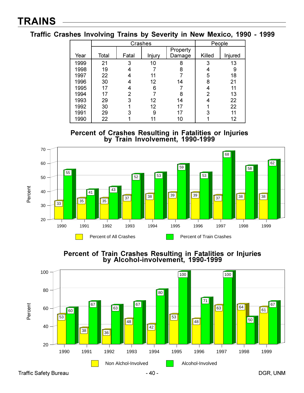**Traffic Crashes Involving Trains by Severity in New Mexico, 1990 - 1999** 

|      | Crashes |                |        |          |        | People  |
|------|---------|----------------|--------|----------|--------|---------|
| Year | Total   |                |        | Property | Killed |         |
|      |         | Fatal          | Injury | Damage   |        | Injured |
| 1999 | 21      | 3              | 10     | 8        | 3      | 13      |
| 1998 | 19      |                |        | 8        |        | 9       |
| 1997 | 22      |                | 11     |          | 5      | 18      |
| 1996 | 30      |                | 12     | 14       | 8      | 21      |
| 1995 | 17      | 4              | 6      |          | 4      | 11      |
| 1994 | 17      | $\overline{2}$ |        | 8        | 2      | 13      |
| 1993 | 29      | 3              | 12     | 14       |        | 22      |
| 1992 | 30      |                | 12     | 17       |        | 22      |
| 1991 | 29      | 3              | 9      | 17       | 3      | 11      |
| 1990 | 22      |                |        | 10       |        | 12      |

**Percent of Crashes Resulting in Fatalities or Injuries<br>by Train Involvement, 1990-1999** 



Percent of Train Crashes Resulting in Fatalities or Injuries<br>by Alcohol-involvement, 1990-1999 ment, 1990-1999

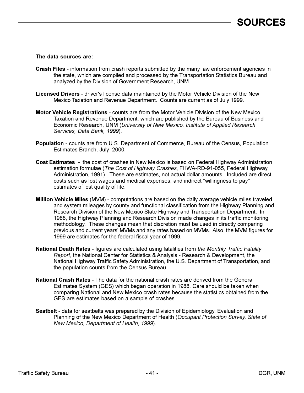#### The data sources are:

- Crash Files information from crash reports submitted by the many law enforcement agencies in the state, which are compiled and processed by the Transportation Statistics Bureau and analyzed by the Division of Government Research, UNM.
- Licensed Drivers driver's license data maintained by the Motor Vehicle Division of the New Mexico Taxation and Revenue Department. Counts are current as of July 1999.
- Motor Vehicle Registrations counts are from the Motor Vehicle Division of the New Mexico Taxation and Revenue Department, which are published by the Bureau of Business and Economic Research, UNM (University of New Mexico, Institute of Applied Research Services, Data Bank, 1999).
- **Population** counts are from U.S. Department of Commerce, Bureau of the Census, Population Estimates Branch, July 2000.
- Cost Estimates the cost of crashes in New Mexico is based on Federal Highway Administration estimation formulae (The Cost of Highway Crashes, FHWA-RD-91-055, Federal Highway Administration, 1991). These are estimates, not actual dollar amounts. Included are direct costs such as lost wages and medical expenses, and indirect "willingness to pay" estimates of lost quality of life.
- Million Vehicle Miles (MVM) computations are based on the daily average vehicle miles traveled and system mileages by county and functional classification from the Highway Planning and Research Division of the New Mexico State Highway and Transportation Department. In 1988, the Highway Planning and Research Division made changes in its traffic monitoring methodology. These changes mean that discretion must be used in directly comparing previous and current years' MVMs and any rates based on MVMs. Also, the MVM figures for 1999 are estimates for the federal fiscal year of 1999.
- National Death Rates figures are calculated using fatalities from the Monthly Traffic Fatality Report, the National Center for Statistics & Analysis - Research & Development, the National Highway Traffic Safety Administration, the U.S. Department of Transportation, and the population counts from the Census Bureau.
- National Crash Rates The data for the national crash rates are derived from the General Estimates System (GES) which began operation in 1988. Care should be taken when comparing National and New Mexico crash rates because the statistics obtained from the GES are estimates based on a sample of crashes.
- Seatbelt data for seatbelts was prepared by the Division of Epidemiology, Evaluation and Planning of the New Mexico Department of Health (Occupant Protection Survey, State of New Mexico, Department of Health, 1999).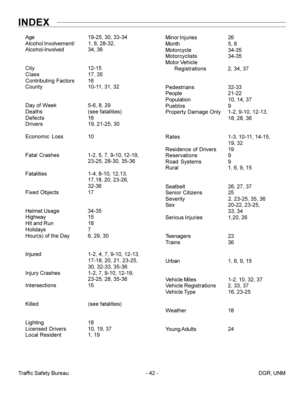# INDEX -

| Age<br>Alcohol Involvement/<br>Alcohol-Involved  | 19-25, 30, 33-34<br>$1, 8, 28-32,$<br>34, 36                         | Minor Injuries<br>Month<br>Motorcycle<br>Motorcyclists<br><b>Motor Vehicle</b> | 26<br>5, 8<br>34-35<br>34-35            |
|--------------------------------------------------|----------------------------------------------------------------------|--------------------------------------------------------------------------------|-----------------------------------------|
| City<br>Class<br><b>Contributing Factors</b>     | $12 - 15$<br>17, 35<br>16                                            | Registrations                                                                  | 2, 34, 37                               |
| County                                           | 10-11, 31, 32                                                        | Pedestrians<br>People<br>Population                                            | 32-33<br>$21 - 22$<br>10, 14, 37        |
| Day of Week                                      | 5-6, 8, 29                                                           | Pueblos                                                                        | 9                                       |
| Deaths<br>Defects                                | (see fatalities)<br>16                                               | <b>Property Damage Only</b>                                                    | $1-2, 9-10, 12-13,$<br>18, 28, 36       |
| <b>Drivers</b>                                   | 19, 21-25, 30                                                        |                                                                                |                                         |
| Economic Loss                                    | 10                                                                   | Rates                                                                          | 1-3, 10-11, 14-15,<br>19, 32            |
|                                                  |                                                                      | <b>Residence of Drivers</b>                                                    | 19                                      |
| <b>Fatal Crashes</b>                             | 1-2, 5, 7, 9-10, 12-19,<br>23-25, 28-30, 35-36                       | <b>Reservations</b><br>Road Systems                                            | 9<br>9                                  |
|                                                  |                                                                      | Rural                                                                          | 1, 6, 9, 15                             |
| <b>Fatalities</b>                                | $1-4, 8-10, 12, 13,$<br>17, 18, 20, 23-26,                           |                                                                                |                                         |
|                                                  | 32-36<br>17                                                          | Seatbelt                                                                       | 26, 27, 37                              |
| <b>Fixed Objects</b>                             |                                                                      | <b>Senior Citizens</b><br>Severity<br>Sex                                      | 25<br>2, 23-25, 35, 36<br>20-22, 23-25, |
| <b>Helmet Usage</b>                              | 34-35                                                                |                                                                                | 33, 34                                  |
| Highway<br>Hit and Run                           | 15<br>18                                                             | Serious Injuries                                                               | 1,20, 26                                |
| Holidays                                         | $\overline{7}$                                                       |                                                                                |                                         |
| Hour(s) of the Day                               | 6, 29, 30                                                            | <b>Teenagers</b><br><b>Trains</b>                                              | 23<br>36                                |
|                                                  |                                                                      |                                                                                |                                         |
| Injured                                          | 1-2, 4, 7, 9-10, 12-13,<br>17-18, 20, 21, 23-25,<br>30, 32-33, 35-36 | Urban                                                                          | 1, 6, 9, 15                             |
| <b>Injury Crashes</b>                            | 1-2, 7, 9-10, 12-19,<br>23-25, 28, 35-36                             | <b>Vehicle Miles</b>                                                           | 1-2, 10, 32, 37                         |
| Intersections                                    | 15                                                                   | <b>Vehicle Registrations</b><br><b>Vehicle Type</b>                            | 2, 33, 37<br>16, 23-25                  |
| Killed                                           | (see fatalities)                                                     |                                                                                |                                         |
|                                                  |                                                                      | Weather                                                                        | 18                                      |
| Lighting                                         | 18                                                                   |                                                                                |                                         |
| <b>Licensed Drivers</b><br><b>Local Resident</b> | 10, 19, 37<br>1, 19                                                  | <b>Young Adults</b>                                                            | 24                                      |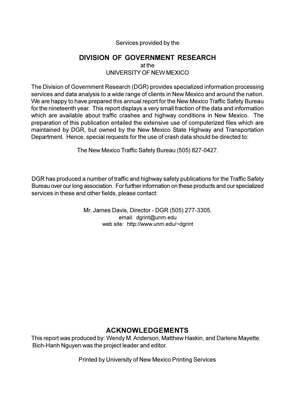#### Services provided by the

#### **DIVISION OF GOVERNMENT RESEARCH**

at the UNIVERSITY OF NEW MEXICO

The Division of Government Research (DGR) provides specialized information processing services and data analysis to a wide range of clients in New Mexico and around the nation. We are happy to have prepared this annual report for the New Mexico Traffic Safety Bureau for the nineteenth year. This report displays a very small fraction of the data and information which are available about traffic crashes and highway conditions in New Mexico. The preparation of this publication entailed the extensive use of computerized files which are maintained by DGR, but owned by the New Mexico State Highway and Transportation Department. Hence, special requests for the use of crash data should be directed to:

The New Mexico Traffic Safety Bureau (505) 827-0427.

DGR has produced a number of traffic and highway safety publications for the Traffic Safety Bureau over our long association. For further information on these products and our specialized services in these and other fields, please contact:

> Mr. James Davis, Director - DGR (505) 277-3305. email: dgrint@unm.edu web site: http://www.unm.edu/~dgrint

#### **ACKNOWLEDGEMENTS**

This report was produced by: Wendy M. Anderson, Matthew Haskin, and Darlene Mayette. Bich-Hanh Nguyen was the project leader and editor.

Printed by University of New Mexico Printing Services